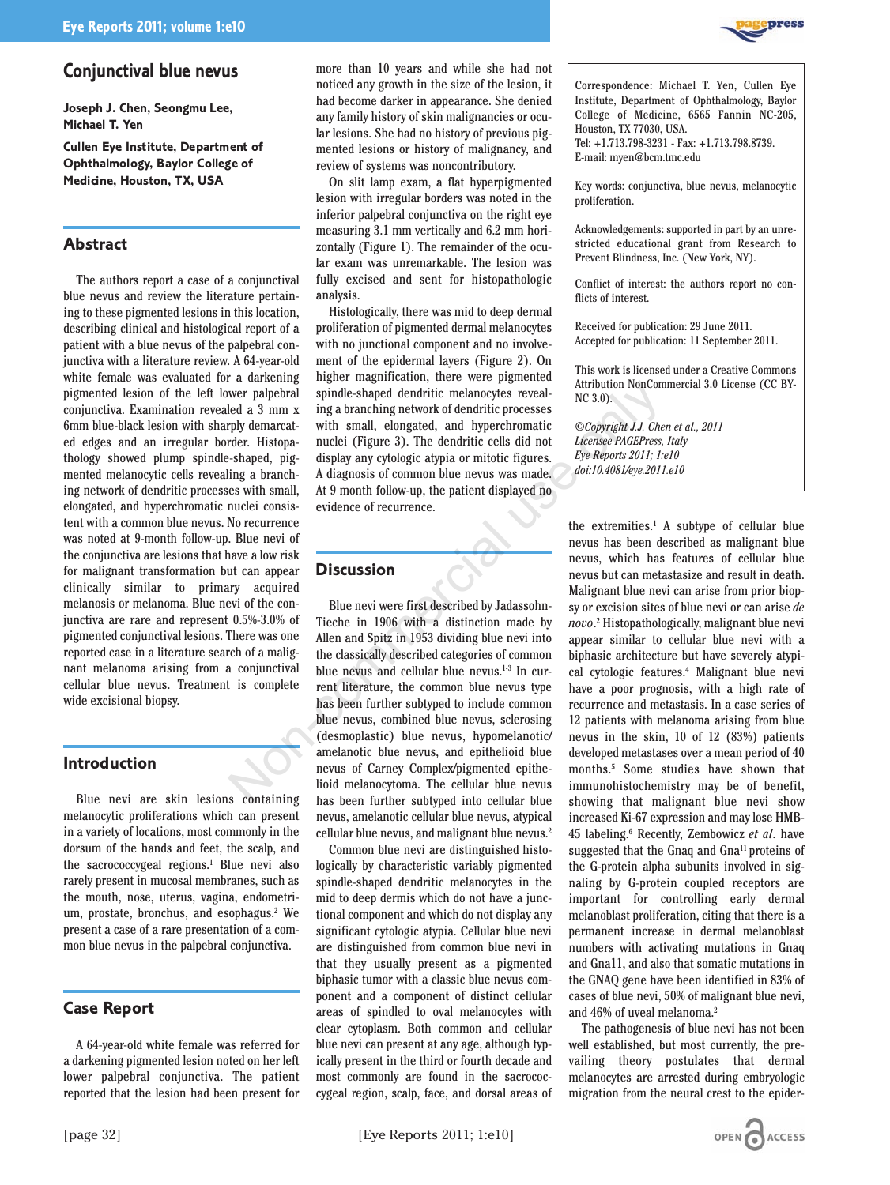

# **Conjunctival blue nevus**

**Joseph J. Chen, Seongmu Lee, Michael T. Yen**

**Cullen Eye Institute, Department of Ophthalmology, Baylor College of Medicine, Houston, TX, USA**

#### **Abstract**

The authors report a case of a conjunctival blue nevus and review the literature pertaining to these pigmented lesions in this location, describing clinical and histological report of a patient with a blue nevus of the palpebral conjunctiva with a literature review. A 64-year-old white female was evaluated for a darkening pigmented lesion of the left lower palpebral conjunctiva. Examination revealed a 3 mm x 6mm blue-black lesion with sharply demarcated edges and an irregular border. Histopathology showed plump spindle-shaped, pigmented melanocytic cells revealing a branching network of dendritic processes with small, elongated, and hyperchromatic nuclei consistent with a common blue nevus. No recurrence was noted at 9-month follow-up. Blue nevi of the conjunctiva are lesions that have a low risk for malignant transformation but can appear clinically similar to primary acquired melanosis or melanoma. Blue nevi of the conjunctiva are rare and represent 0.5%-3.0% of pigmented conjunctival lesions. There was one reported case in a literature search of a malignant melanoma arising from a conjunctival cellular blue nevus. Treatment is complete wide excisional biopsy.

### **Introduction**

Blue nevi are skin lesions containing melanocytic proliferations which can present in a variety of locations, most commonly in the dorsum of the hands and feet, the scalp, and the sacrococcygeal regions.<sup>1</sup> Blue nevi also rarely present in mucosal membranes, such as the mouth, nose, uterus, vagina, endometrium, prostate, bronchus, and esophagus.2 We present a case of a rare presentation of a common blue nevus in the palpebral conjunctiva.

## **Case Report**

A 64-year-old white female was referred for a darkening pigmented lesion noted on her left lower palpebral conjunctiva. The patient reported that the lesion had been present for more than 10 years and while she had not noticed any growth in the size of the lesion, it had become darker in appearance. She denied any family history of skin malignancies or ocular lesions. She had no history of previous pigmented lesions or history of malignancy, and review of systems was noncontributory.

On slit lamp exam, a flat hyperpigmented lesion with irregular borders was noted in the inferior palpebral conjunctiva on the right eye measuring 3.1 mm vertically and 6.2 mm horizontally (Figure 1). The remainder of the ocular exam was unremarkable. The lesion was fully excised and sent for histopathologic analysis.

Histologically, there was mid to deep dermal proliferation of pigmented dermal melanocytes with no junctional component and no involvement of the epidermal layers (Figure 2). On higher magnification, there were pigmented spindle-shaped dendritic melanocytes revealing a branching network of dendritic processes with small, elongated, and hyperchromatic nuclei (Figure 3). The dendritic cells did not display any cytologic atypia or mitotic figures. A diagnosis of common blue nevus was made. At 9 month follow-up, the patient displayed no evidence of recurrence.

#### **Discussion**

Blue nevi were first described by Jadassohn-Tieche in 1906 with a distinction made by Allen and Spitz in 1953 dividing blue nevi into the classically described categories of common blue nevus and cellular blue nevus.<sup>1-3</sup> In current literature, the common blue nevus type has been further subtyped to include common blue nevus, combined blue nevus, sclerosing (desmoplastic) blue nevus, hypomelanotic/ amelanotic blue nevus, and epithelioid blue nevus of Carney Complex/pigmented epithelioid melanocytoma. The cellular blue nevus has been further subtyped into cellular blue nevus, amelanotic cellular blue nevus, atypical cellular blue nevus, and malignant blue nevus.2 Wer palpebral spindle-shaped dendritic melanocytes revealed a 3 mm x ing a branching network of dendritic processes<br>
led a 3 mm x ing a branching network of dendritic processes<br>
requesting the small and proper dendritic c

Common blue nevi are distinguished histologically by characteristic variably pigmented spindle-shaped dendritic melanocytes in the mid to deep dermis which do not have a junctional component and which do not display any significant cytologic atypia. Cellular blue nevi are distinguished from common blue nevi in that they usually present as a pigmented biphasic tumor with a classic blue nevus component and a component of distinct cellular areas of spindled to oval melanocytes with clear cytoplasm. Both common and cellular blue nevi can present at any age, although typically present in the third or fourth decade and most commonly are found in the sacrococcygeal region, scalp, face, and dorsal areas of

Key words: conjunctiva, blue nevus, melanocytic proliferation.

Acknowledgements: supported in part by an unrestricted educational grant from Research to Prevent Blindness, Inc. (New York, NY).

Conflict of interest: the authors report no conflicts of interest.

Received for publication: 29 June 2011. Accepted for publication: 11 September 2011.

This work is licensed under a Creative Commons Attribution NonCommercial 3.0 License (CC BY-NC 3.0).

*©Copyright J.J. Chen et al., 2011 Licensee PAGEPress, Italy Eye Reports 2011; 1:e10 doi:10.4081/eye.2011.e10*

the extremities.<sup>1</sup> A subtype of cellular blue nevus has been described as malignant blue nevus, which has features of cellular blue nevus but can metastasize and result in death. Malignant blue nevi can arise from prior biopsy or excision sites of blue nevi or can arise *de* novo.<sup>2</sup> Histopathologically, malignant blue nevi appear similar to cellular blue nevi with a biphasic architecture but have severely atypical cytologic features.4 Malignant blue nevi have a poor prognosis, with a high rate of recurrence and metastasis. In a case series of 12 patients with melanoma arising from blue nevus in the skin, 10 of 12 (83%) patients developed metastases over a mean period of 40 months.5 Some studies have shown that immunohistochemistry may be of benefit, showing that malignant blue nevi show increased Ki-67 expression and may lose HMB-45 labeling.6 Recently, Zembowicz *et al*. have suggested that the Gnaq and Gna<sup>11</sup> proteins of the G-protein alpha subunits involved in signaling by G-protein coupled receptors are important for controlling early dermal melanoblast proliferation, citing that there is a permanent increase in dermal melanoblast numbers with activating mutations in Gnaq and Gna11, and also that somatic mutations in the GNAQ gene have been identified in 83% of cases of blue nevi, 50% of malignant blue nevi, and 46% of uveal melanoma.2

The pathogenesis of blue nevi has not been well established, but most currently, the prevailing theory postulates that dermal melanocytes are arrested during embryologic migration from the neural crest to the epider-